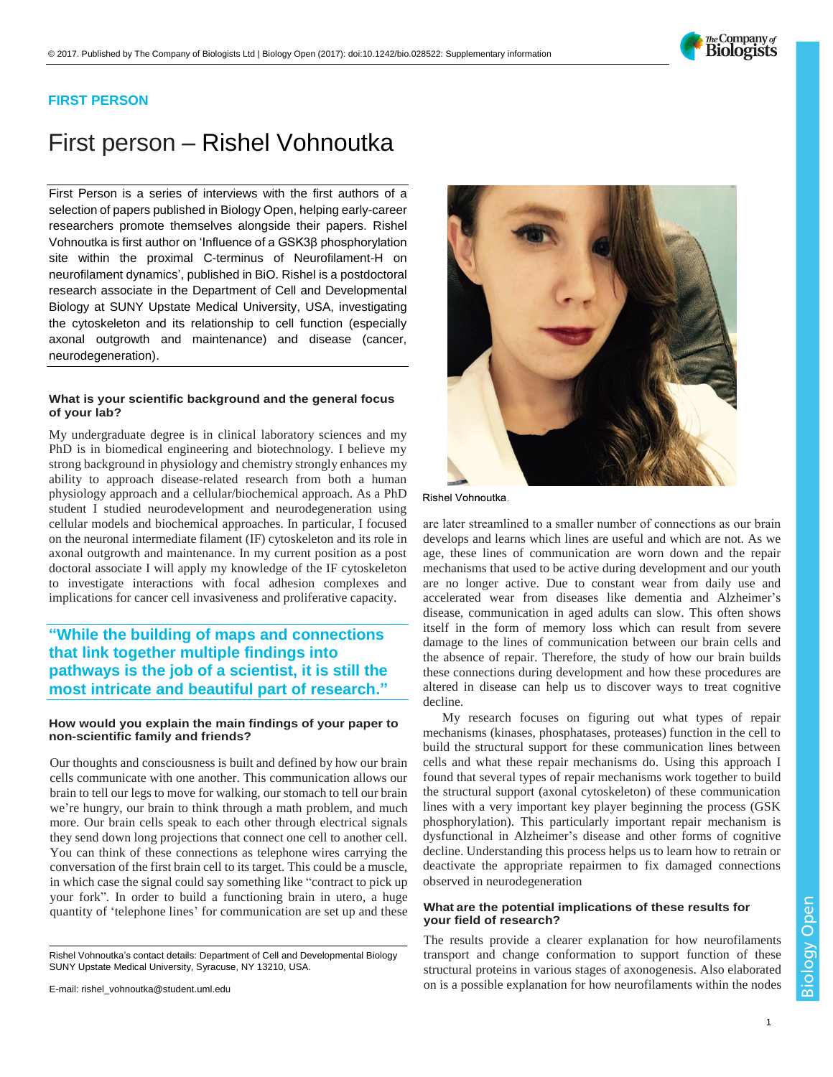

### **FIRST PERSON**

# First person – Rishel Vohnoutka

First Person is a series of interviews with the first authors of a selection of papers published in Biology Open, helping early-career researchers promote themselves alongside their papers. Rishel Vohnoutka is first author on ['Influence of a GSK3β phosphorylation](http://doi.org/10.1242/bio.028522)  [site within the proximal C-terminus of Neurofilament-H on](http://doi.org/10.1242/bio.028522)  [neurofilament dynamics',](http://doi.org/10.1242/bio.028522) published in BiO. Rishel is a postdoctoral research associate in the Department of Cell and Developmental Biology at SUNY Upstate Medical University, USA, investigating the cytoskeleton and its relationship to cell function (especially axonal outgrowth and maintenance) and disease (cancer, neurodegeneration).

#### **What is your scientific background and the general focus of your lab?**

My undergraduate degree is in clinical laboratory sciences and my PhD is in biomedical engineering and biotechnology. I believe my strong background in physiology and chemistry strongly enhances my ability to approach disease-related research from both a human physiology approach and a cellular/biochemical approach. As a PhD student I studied neurodevelopment and neurodegeneration using cellular models and biochemical approaches. In particular, I focused on the neuronal intermediate filament (IF) cytoskeleton and its role in axonal outgrowth and maintenance. In my current position as a post doctoral associate I will apply my knowledge of the IF cytoskeleton to investigate interactions with focal adhesion complexes and implications for cancer cell invasiveness and proliferative capacity.

## **"While the building of maps and connections that link together multiple findings into pathways is the job of a scientist, it is still the most intricate and beautiful part of research."**

#### **How would you explain the main findings of your paper to non-scientific family and friends?**

Our thoughts and consciousness is built and defined by how our brain cells communicate with one another. This communication allows our brain to tell our legs to move for walking, our stomach to tell our brain we're hungry, our brain to think through a math problem, and much more. Our brain cells speak to each other through electrical signals they send down long projections that connect one cell to another cell. You can think of these connections as telephone wires carrying the conversation of the first brain cell to its target. This could be a muscle, in which case the signal could say something like "contract to pick up your fork". In order to build a functioning brain in utero, a huge quantity of 'telephone lines' for communication are set up and these

Rishel Vohnoutka's contact details: Department of Cell and Developmental Biology SUNY Upstate Medical University, Syracuse, NY 13210, USA.



Rishel Vohnoutka.

are later streamlined to a smaller number of connections as our brain develops and learns which lines are useful and which are not. As we age, these lines of communication are worn down and the repair mechanisms that used to be active during development and our youth are no longer active. Due to constant wear from daily use and accelerated wear from diseases like dementia and Alzheimer's disease, communication in aged adults can slow. This often shows itself in the form of memory loss which can result from severe damage to the lines of communication between our brain cells and the absence of repair. Therefore, the study of how our brain builds these connections during development and how these procedures are altered in disease can help us to discover ways to treat cognitive decline.

My research focuses on figuring out what types of repair mechanisms (kinases, phosphatases, proteases) function in the cell to build the structural support for these communication lines between cells and what these repair mechanisms do. Using this approach I found that several types of repair mechanisms work together to build the structural support (axonal cytoskeleton) of these communication lines with a very important key player beginning the process (GSK phosphorylation). This particularly important repair mechanism is dysfunctional in Alzheimer's disease and other forms of cognitive decline. Understanding this process helps us to learn how to retrain or deactivate the appropriate repairmen to fix damaged connections observed in neurodegeneration

#### **What are the potential implications of these results for your field of research?**

The results provide a clearer explanation for how neurofilaments transport and change conformation to support function of these structural proteins in various stages of axonogenesis. Also elaborated on is a possible explanation for how neurofilaments within the nodes